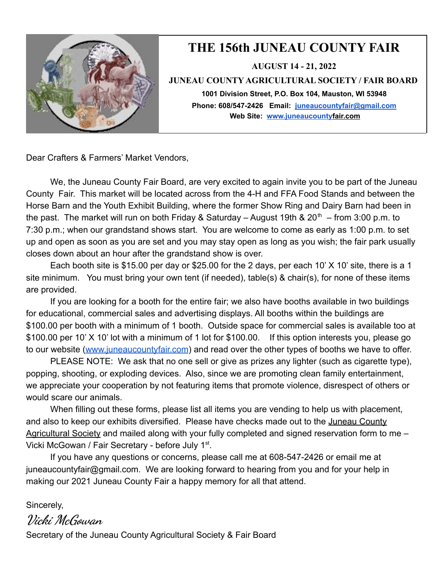

## **THE 156th JUNEAU COUNTY FAIR**

**AUGUST 14 - 21, 2022**

**JUNEAU COUNTY AGRICULTURAL SOCIETY / FAIR BOARD**

**1001 Division Street, P.O. Box 104, Mauston, WI 53948 Phone: 608/547-2426 Email: juneaucountyfair@gmail.com Web Site: [www.juneaucountyf](http://www.juneaucounty/)air.com**

Dear Crafters & Farmers' Market Vendors,

We, the Juneau County Fair Board, are very excited to again invite you to be part of the Juneau County Fair. This market will be located across from the 4-H and FFA Food Stands and between the Horse Barn and the Youth Exhibit Building, where the former Show Ring and Dairy Barn had been in the past. The market will run on both Friday & Saturday – August 19th &  $20<sup>th</sup>$  – from 3:00 p.m. to 7:30 p.m.; when our grandstand shows start. You are welcome to come as early as 1:00 p.m. to set up and open as soon as you are set and you may stay open as long as you wish; the fair park usually closes down about an hour after the grandstand show is over.

Each booth site is \$15.00 per day or \$25.00 for the 2 days, per each 10' X 10' site, there is a 1 site minimum. You must bring your own tent (if needed), table(s) & chair(s), for none of these items are provided.

If you are looking for a booth for the entire fair; we also have booths available in two buildings for educational, commercial sales and advertising displays. All booths within the buildings are \$100.00 per booth with a minimum of 1 booth. Outside space for commercial sales is available too at \$100.00 per 10' X 10' lot with a minimum of 1 lot for \$100.00. If this option interests you, please go to our website ([www.juneaucountyfair.com](http://www.juneaucountyfair.com/)) and read over the other types of booths we have to offer.

PLEASE NOTE: We ask that no one sell or give as prizes any lighter (such as cigarette type), popping, shooting, or exploding devices. Also, since we are promoting clean family entertainment, we appreciate your cooperation by not featuring items that promote violence, disrespect of others or would scare our animals.

When filling out these forms, please list all items you are vending to help us with placement, and also to keep our exhibits diversified. Please have checks made out to the Juneau County Agricultural Society and mailed along with your fully completed and signed reservation form to me -Vicki McGowan / Fair Secretary - before July 1<sup>st</sup>.

If you have any questions or concerns, please call me at 608-547-2426 or email me at juneaucountyfair@gmail.com. We are looking forward to hearing from you and for your help in making our 2021 Juneau County Fair a happy memory for all that attend.

Sincerely,

**Vicki McGowan** Secretary of the Juneau County Agricultural Society & Fair Board